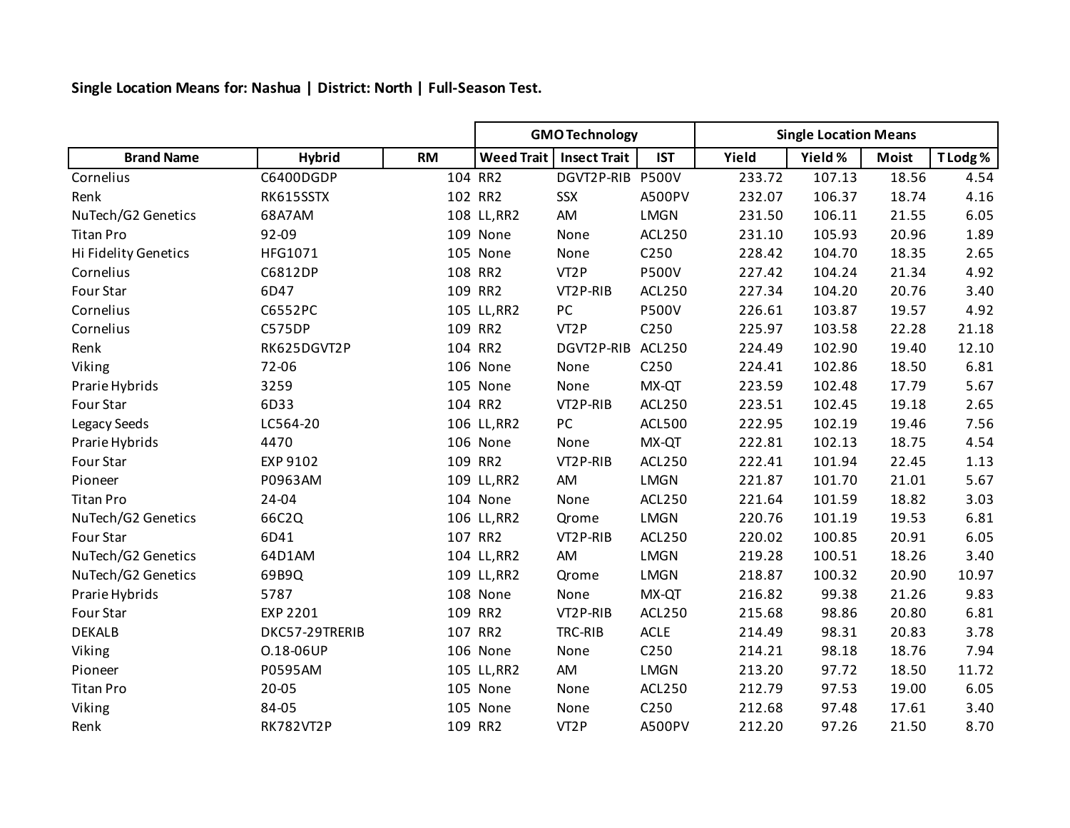**Single Location Means for: Nashua | District: North | Full-Season Test.**

|                      |                  |           | <b>GMO Technology</b> |                     |                  | <b>Single Location Means</b> |         |              |          |
|----------------------|------------------|-----------|-----------------------|---------------------|------------------|------------------------------|---------|--------------|----------|
| <b>Brand Name</b>    | <b>Hybrid</b>    | <b>RM</b> | <b>Weed Trait</b>     | <b>Insect Trait</b> | <b>IST</b>       | Yield                        | Yield % | <b>Moist</b> | T Lodg % |
| Cornelius            | C6400DGDP        |           | 104 RR2               | DGVT2P-RIB          | <b>P500V</b>     | 233.72                       | 107.13  | 18.56        | 4.54     |
| Renk                 | RK615SSTX        |           | 102 RR2               | SSX                 | <b>A500PV</b>    | 232.07                       | 106.37  | 18.74        | 4.16     |
| NuTech/G2 Genetics   | 68A7AM           |           | 108 LL, RR2           | AM                  | <b>LMGN</b>      | 231.50                       | 106.11  | 21.55        | 6.05     |
| <b>Titan Pro</b>     | 92-09            |           | 109 None              | None                | <b>ACL250</b>    | 231.10                       | 105.93  | 20.96        | 1.89     |
| Hi Fidelity Genetics | HFG1071          |           | 105 None              | None                | C <sub>250</sub> | 228.42                       | 104.70  | 18.35        | 2.65     |
| Cornelius            | C6812DP          |           | 108 RR2               | VT <sub>2</sub> P   | <b>P500V</b>     | 227.42                       | 104.24  | 21.34        | 4.92     |
| Four Star            | 6D47             |           | 109 RR2               | VT2P-RIB            | <b>ACL250</b>    | 227.34                       | 104.20  | 20.76        | 3.40     |
| Cornelius            | C6552PC          |           | 105 LL, RR2           | $PC$                | <b>P500V</b>     | 226.61                       | 103.87  | 19.57        | 4.92     |
| Cornelius            | C575DP           |           | 109 RR2               | VT <sub>2</sub> P   | C250             | 225.97                       | 103.58  | 22.28        | 21.18    |
| Renk                 | RK625DGVT2P      |           | 104 RR2               | DGVT2P-RIB          | <b>ACL250</b>    | 224.49                       | 102.90  | 19.40        | 12.10    |
| Viking               | 72-06            |           | 106 None              | None                | C250             | 224.41                       | 102.86  | 18.50        | 6.81     |
| Prarie Hybrids       | 3259             |           | 105 None              | None                | MX-QT            | 223.59                       | 102.48  | 17.79        | 5.67     |
| Four Star            | 6D33             |           | 104 RR2               | VT2P-RIB            | <b>ACL250</b>    | 223.51                       | 102.45  | 19.18        | 2.65     |
| Legacy Seeds         | LC564-20         |           | 106 LL, RR2           | $PC$                | <b>ACL500</b>    | 222.95                       | 102.19  | 19.46        | 7.56     |
| Prarie Hybrids       | 4470             |           | 106 None              | None                | MX-QT            | 222.81                       | 102.13  | 18.75        | 4.54     |
| Four Star            | EXP 9102         |           | 109 RR2               | VT2P-RIB            | <b>ACL250</b>    | 222.41                       | 101.94  | 22.45        | 1.13     |
| Pioneer              | P0963AM          |           | 109 LL, RR2           | AM                  | <b>LMGN</b>      | 221.87                       | 101.70  | 21.01        | 5.67     |
| <b>Titan Pro</b>     | 24-04            |           | 104 None              | None                | <b>ACL250</b>    | 221.64                       | 101.59  | 18.82        | 3.03     |
| NuTech/G2 Genetics   | 66C2Q            |           | 106 LL, RR2           | Qrome               | <b>LMGN</b>      | 220.76                       | 101.19  | 19.53        | 6.81     |
| Four Star            | 6D41             |           | 107 RR2               | VT2P-RIB            | <b>ACL250</b>    | 220.02                       | 100.85  | 20.91        | 6.05     |
| NuTech/G2 Genetics   | 64D1AM           |           | 104 LL, RR2           | AM                  | <b>LMGN</b>      | 219.28                       | 100.51  | 18.26        | 3.40     |
| NuTech/G2 Genetics   | 69B9Q            |           | 109 LL, RR2           | Qrome               | <b>LMGN</b>      | 218.87                       | 100.32  | 20.90        | 10.97    |
| Prarie Hybrids       | 5787             |           | 108 None              | None                | MX-QT            | 216.82                       | 99.38   | 21.26        | 9.83     |
| Four Star            | <b>EXP 2201</b>  |           | 109 RR2               | VT2P-RIB            | <b>ACL250</b>    | 215.68                       | 98.86   | 20.80        | 6.81     |
| <b>DEKALB</b>        | DKC57-29TRERIB   |           | 107 RR2               | TRC-RIB             | <b>ACLE</b>      | 214.49                       | 98.31   | 20.83        | 3.78     |
| Viking               | 0.18-06UP        |           | 106 None              | None                | C250             | 214.21                       | 98.18   | 18.76        | 7.94     |
| Pioneer              | P0595AM          |           | 105 LL, RR2           | AM                  | <b>LMGN</b>      | 213.20                       | 97.72   | 18.50        | 11.72    |
| <b>Titan Pro</b>     | 20-05            |           | 105 None              | None                | <b>ACL250</b>    | 212.79                       | 97.53   | 19.00        | 6.05     |
| Viking               | 84-05            |           | 105 None              | None                | C250             | 212.68                       | 97.48   | 17.61        | 3.40     |
| Renk                 | <b>RK782VT2P</b> |           | 109 RR2               | VT <sub>2</sub> P   | <b>A500PV</b>    | 212.20                       | 97.26   | 21.50        | 8.70     |